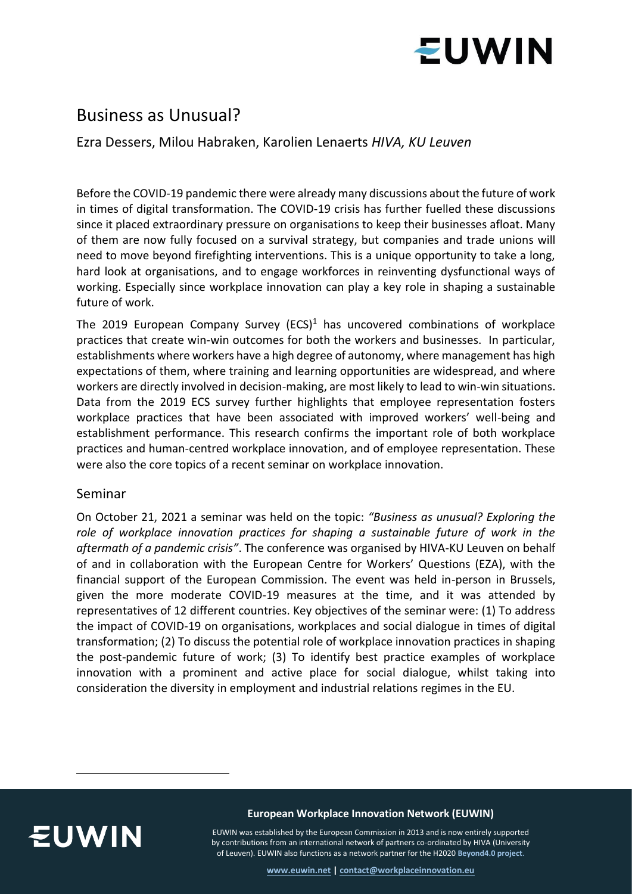

# Business as Unusual?

Ezra Dessers, Milou Habraken, Karolien Lenaerts *HIVA, KU Leuven*

Before the COVID-19 pandemic there were already many discussions about the future of work in times of digital transformation. The COVID-19 crisis has further fuelled these discussions since it placed extraordinary pressure on organisations to keep their businesses afloat. Many of them are now fully focused on a survival strategy, but companies and trade unions will need to move beyond firefighting interventions. This is a unique opportunity to take a long, hard look at organisations, and to engage workforces in reinventing dysfunctional ways of working. Especially since workplace innovation can play a key role in shaping a sustainable future of work.

The 2019 European Company Survey (ECS)<sup>1</sup> has uncovered combinations of workplace practices that create win-win outcomes for both the workers and businesses. In particular, establishments where workers have a high degree of autonomy, where management has high expectations of them, where training and learning opportunities are widespread, and where workers are directly involved in decision-making, are most likely to lead to win-win situations. Data from the 2019 ECS survey further highlights that employee representation fosters workplace practices that have been associated with improved workers' well-being and establishment performance. This research confirms the important role of both workplace practices and human-centred workplace innovation, and of employee representation. These were also the core topics of a recent seminar on workplace innovation.

### Seminar

On October 21, 2021 a seminar was held on the topic: *"Business as unusual? Exploring the role of workplace innovation practices for shaping a sustainable future of work in the aftermath of a pandemic crisis"*. The conference was organised by HIVA-KU Leuven on behalf of and in collaboration with the European Centre for Workers' Questions (EZA), with the financial support of the European Commission. The event was held in-person in Brussels, given the more moderate COVID-19 measures at the time, and it was attended by representatives of 12 different countries. Key objectives of the seminar were: (1) To address the impact of COVID-19 on organisations, workplaces and social dialogue in times of digital transformation; (2) To discuss the potential role of workplace innovation practices in shaping the post-pandemic future of work; (3) To identify best practice examples of workplace innovation with a prominent and active place for social dialogue, whilst taking into consideration the diversity in employment and industrial relations regimes in the EU.



**European Workplace Innovation Network (EUWIN)**

EUWIN was established by the European Commission in 2013 and is now entirely supported by contributions from an international network of partners co-ordinated by HIVA (University of Leuven). EUWIN also functions as a network partner for the H2020 **[Beyond4.0 project](https://beyond4-0.eu/)**.

**[www.euwin.net](http://www.euwin.net/) [| contact@workplaceinnovation.eu](mailto:contact@workplaceinnovation.eu)**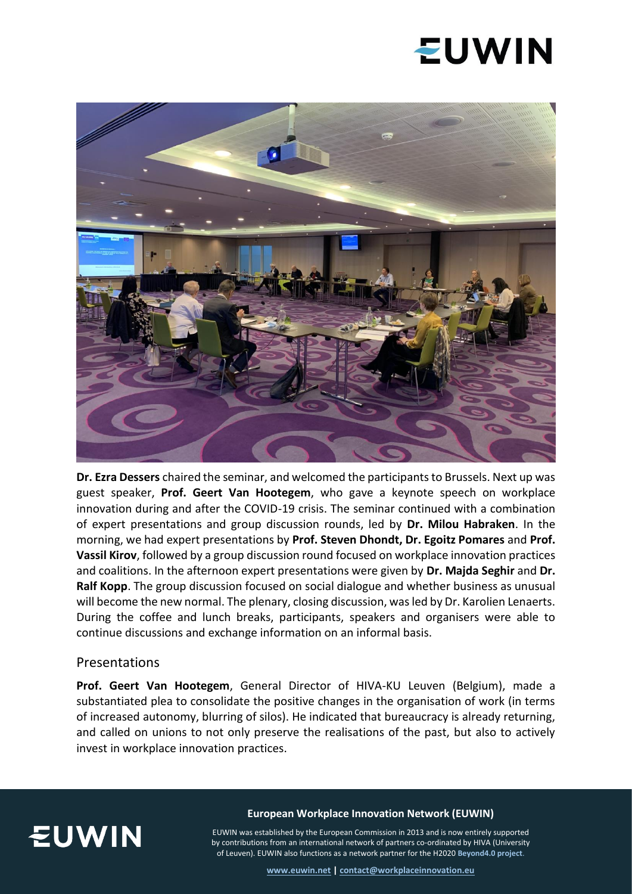# **EUWIN**



**Dr. Ezra Dessers** chaired the seminar, and welcomed the participants to Brussels. Next up was guest speaker, **Prof. Geert Van Hootegem**, who gave a keynote speech on workplace innovation during and after the COVID-19 crisis. The seminar continued with a combination of expert presentations and group discussion rounds, led by **Dr. Milou Habraken**. In the morning, we had expert presentations by **Prof. Steven Dhondt, Dr. Egoitz Pomares** and **Prof. Vassil Kirov**, followed by a group discussion round focused on workplace innovation practices and coalitions. In the afternoon expert presentations were given by **Dr. Majda Seghir** and **Dr. Ralf Kopp**. The group discussion focused on social dialogue and whether business as unusual will become the new normal. The plenary, closing discussion, was led by Dr. Karolien Lenaerts. During the coffee and lunch breaks, participants, speakers and organisers were able to continue discussions and exchange information on an informal basis.

#### Presentations

**Prof. Geert Van Hootegem**, General Director of HIVA-KU Leuven (Belgium), made a substantiated plea to consolidate the positive changes in the organisation of work (in terms of increased autonomy, blurring of silos). He indicated that bureaucracy is already returning, and called on unions to not only preserve the realisations of the past, but also to actively invest in workplace innovation practices.



#### **European Workplace Innovation Network (EUWIN)**

EUWIN was established by the European Commission in 2013 and is now entirely supported by contributions from an international network of partners co-ordinated by HIVA (University of Leuven). EUWIN also functions as a network partner for the H2020 **[Beyond4.0 project](https://beyond4-0.eu/)**.